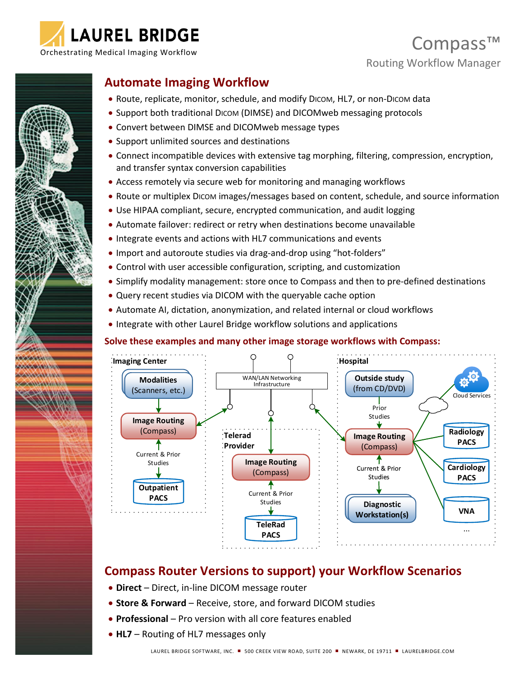

## Compass™ Routing Workflow Manager



### **Automate Imaging Workflow**

- Route, replicate, monitor, schedule, and modify DICOM, HL7, or non-DICOM data
- Support both traditional DICOM (DIMSE) and DICOMweb messaging protocols
- Convert between DIMSE and DICOMweb message types
- Support unlimited sources and destinations
- Connect incompatible devices with extensive tag morphing, filtering, compression, encryption, and transfer syntax conversion capabilities
- Access remotely via secure web for monitoring and managing workflows
- Route or multiplex DICOM images/messages based on content, schedule, and source information
- Use HIPAA compliant, secure, encrypted communication, and audit logging
- Automate failover: redirect or retry when destinations become unavailable
- Integrate events and actions with HL7 communications and events
- Import and autoroute studies via drag-and-drop using "hot-folders"
- Control with user accessible configuration, scripting, and customization
- Simplify modality management: store once to Compass and then to pre-defined destinations
- Query recent studies via DICOM with the queryable cache option
- Automate AI, dictation, anonymization, and related internal or cloud workflows
- Integrate with other Laurel Bridge workflow solutions and applications

#### **Solve these examples and many other image storage workflows with Compass:**



### **Compass Router Versions to support) your Workflow Scenarios**

- **Direct** Direct, in-line DICOM message router
- **Store & Forward** Receive, store, and forward DICOM studies
- **Professional** Pro version with all core features enabled
- **HL7** Routing of HL7 messages only